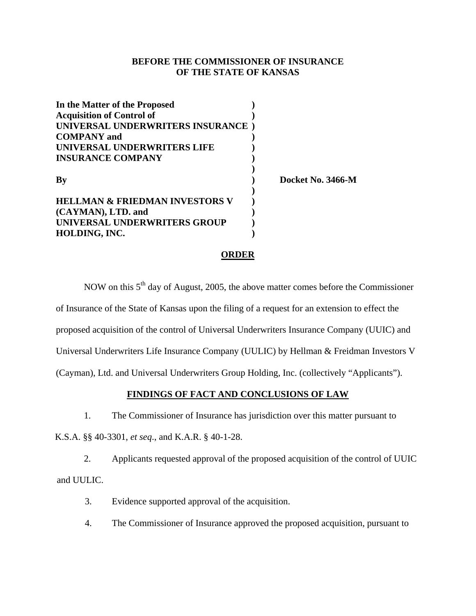## **BEFORE THE COMMISSIONER OF INSURANCE OF THE STATE OF KANSAS**

| In the Matter of the Proposed             |                   |
|-------------------------------------------|-------------------|
| <b>Acquisition of Control of</b>          |                   |
| UNIVERSAL UNDERWRITERS INSURANCE)         |                   |
| <b>COMPANY</b> and                        |                   |
| UNIVERSAL UNDERWRITERS LIFE               |                   |
| <b>INSURANCE COMPANY</b>                  |                   |
| By                                        | Docket No. 3466-M |
| <b>HELLMAN &amp; FRIEDMAN INVESTORS V</b> |                   |
| (CAYMAN), LTD. and                        |                   |
| UNIVERSAL UNDERWRITERS GROUP              |                   |
| HOLDING, INC.                             |                   |

#### **ORDER**

NOW on this  $5<sup>th</sup>$  day of August, 2005, the above matter comes before the Commissioner of Insurance of the State of Kansas upon the filing of a request for an extension to effect the proposed acquisition of the control of Universal Underwriters Insurance Company (UUIC) and Universal Underwriters Life Insurance Company (UULIC) by Hellman & Freidman Investors V (Cayman), Ltd. and Universal Underwriters Group Holding, Inc. (collectively "Applicants").

## **FINDINGS OF FACT AND CONCLUSIONS OF LAW**

1. The Commissioner of Insurance has jurisdiction over this matter pursuant to

K.S.A. §§ 40-3301, *et seq*., and K.A.R. § 40-1-28.

2. Applicants requested approval of the proposed acquisition of the control of UUIC and UULIC.

3. Evidence supported approval of the acquisition.

4. The Commissioner of Insurance approved the proposed acquisition, pursuant to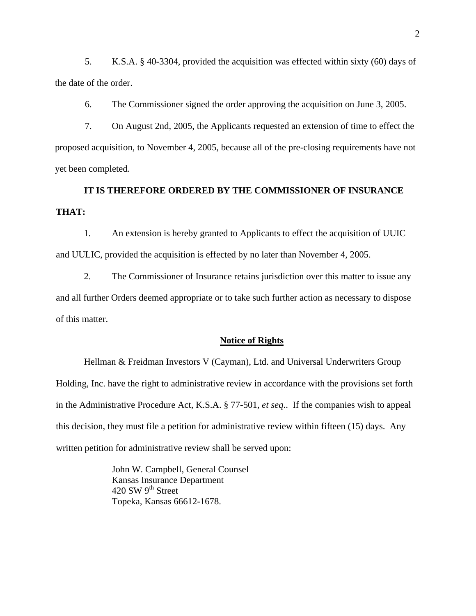5. K.S.A. § 40-3304, provided the acquisition was effected within sixty (60) days of the date of the order.

6. The Commissioner signed the order approving the acquisition on June 3, 2005.

7. On August 2nd, 2005, the Applicants requested an extension of time to effect the proposed acquisition, to November 4, 2005, because all of the pre-closing requirements have not yet been completed.

# **IT IS THEREFORE ORDERED BY THE COMMISSIONER OF INSURANCE THAT:**

1. An extension is hereby granted to Applicants to effect the acquisition of UUIC and UULIC, provided the acquisition is effected by no later than November 4, 2005.

2. The Commissioner of Insurance retains jurisdiction over this matter to issue any and all further Orders deemed appropriate or to take such further action as necessary to dispose of this matter.

#### **Notice of Rights**

Hellman & Freidman Investors V (Cayman), Ltd. and Universal Underwriters Group Holding, Inc. have the right to administrative review in accordance with the provisions set forth in the Administrative Procedure Act, K.S.A. § 77-501, *et seq*.. If the companies wish to appeal this decision, they must file a petition for administrative review within fifteen (15) days. Any written petition for administrative review shall be served upon:

> John W. Campbell, General Counsel Kansas Insurance Department  $420$  SW  $9^{th}$  Street Topeka, Kansas 66612-1678.